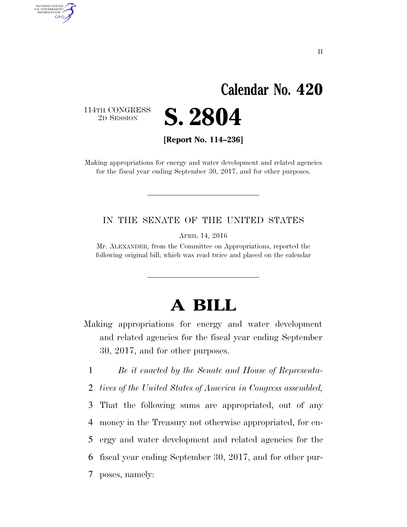## **Calendar No. 420**

114TH CONGRESS<br>2D SESSION

AUTHENTICATED<br>U.S. GOVERNMENT<br>INFORMATION GPO

**S. 2804** 

**[Report No. 114–236]** 

Making appropriations for energy and water development and related agencies for the fiscal year ending September 30, 2017, and for other purposes.

#### IN THE SENATE OF THE UNITED STATES

APRIL 14, 2016

Mr. ALEXANDER, from the Committee on Appropriations, reported the following original bill; which was read twice and placed on the calendar

# **A BILL**

Making appropriations for energy and water development and related agencies for the fiscal year ending September 30, 2017, and for other purposes.

1 *Be it enacted by the Senate and House of Representa-*

2 *tives of the United States of America in Congress assembled,* 

 That the following sums are appropriated, out of any money in the Treasury not otherwise appropriated, for en- ergy and water development and related agencies for the fiscal year ending September 30, 2017, and for other pur-

7 poses, namely: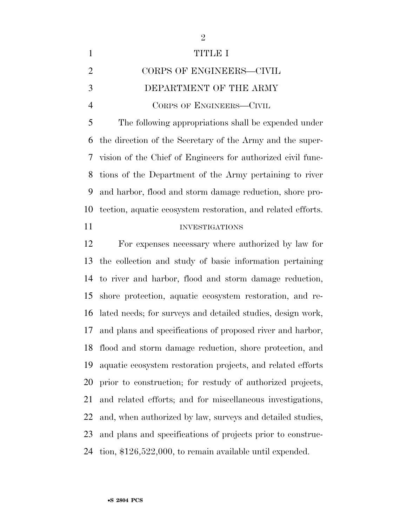| $\mathbf{1}$   | TITIDE I                                                      |
|----------------|---------------------------------------------------------------|
| 2              | CORPS OF ENGINEERS-CIVIL                                      |
| 3              | DEPARTMENT OF THE ARMY                                        |
| $\overline{4}$ | CORPS OF ENGINEERS-CIVIL                                      |
| 5              | The following appropriations shall be expended under          |
|                | 6 the direction of the Secretary of the Army and the super-   |
|                | 7 vision of the Chief of Engineers for authorized civil func- |

 tions of the Department of the Army pertaining to river and harbor, flood and storm damage reduction, shore pro-tection, aquatic ecosystem restoration, and related efforts.

#### 11 INVESTIGATIONS

 For expenses necessary where authorized by law for the collection and study of basic information pertaining to river and harbor, flood and storm damage reduction, shore protection, aquatic ecosystem restoration, and re- lated needs; for surveys and detailed studies, design work, and plans and specifications of proposed river and harbor, flood and storm damage reduction, shore protection, and aquatic ecosystem restoration projects, and related efforts prior to construction; for restudy of authorized projects, and related efforts; and for miscellaneous investigations, and, when authorized by law, surveys and detailed studies, and plans and specifications of projects prior to construc-tion, \$126,522,000, to remain available until expended.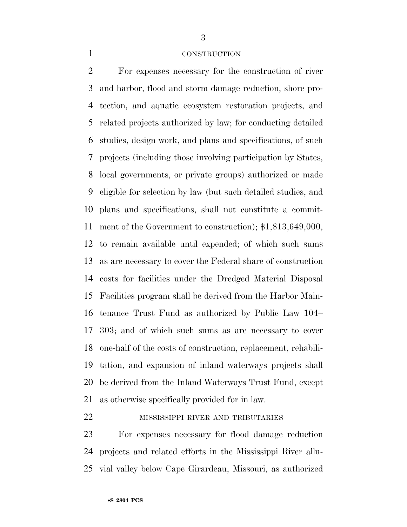#### CONSTRUCTION

 For expenses necessary for the construction of river and harbor, flood and storm damage reduction, shore pro- tection, and aquatic ecosystem restoration projects, and related projects authorized by law; for conducting detailed studies, design work, and plans and specifications, of such projects (including those involving participation by States, local governments, or private groups) authorized or made eligible for selection by law (but such detailed studies, and plans and specifications, shall not constitute a commit- ment of the Government to construction); \$1,813,649,000, to remain available until expended; of which such sums as are necessary to cover the Federal share of construction costs for facilities under the Dredged Material Disposal Facilities program shall be derived from the Harbor Main- tenance Trust Fund as authorized by Public Law 104– 303; and of which such sums as are necessary to cover one-half of the costs of construction, replacement, rehabili- tation, and expansion of inland waterways projects shall be derived from the Inland Waterways Trust Fund, except as otherwise specifically provided for in law.

#### MISSISSIPPI RIVER AND TRIBUTARIES

 For expenses necessary for flood damage reduction projects and related efforts in the Mississippi River allu-vial valley below Cape Girardeau, Missouri, as authorized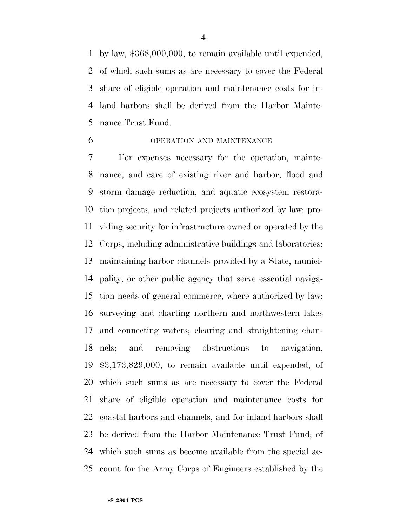by law, \$368,000,000, to remain available until expended, of which such sums as are necessary to cover the Federal share of eligible operation and maintenance costs for in- land harbors shall be derived from the Harbor Mainte-nance Trust Fund.

#### OPERATION AND MAINTENANCE

 For expenses necessary for the operation, mainte- nance, and care of existing river and harbor, flood and storm damage reduction, and aquatic ecosystem restora- tion projects, and related projects authorized by law; pro- viding security for infrastructure owned or operated by the Corps, including administrative buildings and laboratories; maintaining harbor channels provided by a State, munici- pality, or other public agency that serve essential naviga- tion needs of general commerce, where authorized by law; surveying and charting northern and northwestern lakes and connecting waters; clearing and straightening chan- nels; and removing obstructions to navigation, \$3,173,829,000, to remain available until expended, of which such sums as are necessary to cover the Federal share of eligible operation and maintenance costs for coastal harbors and channels, and for inland harbors shall be derived from the Harbor Maintenance Trust Fund; of which such sums as become available from the special ac-count for the Army Corps of Engineers established by the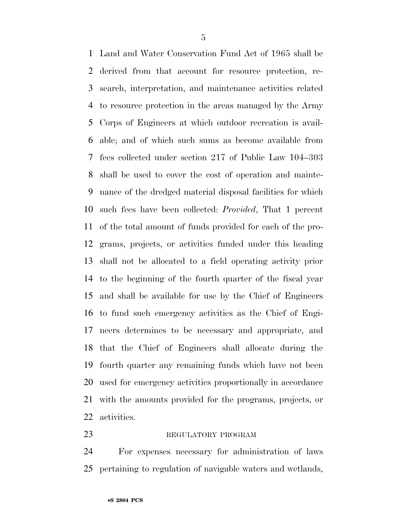Land and Water Conservation Fund Act of 1965 shall be derived from that account for resource protection, re- search, interpretation, and maintenance activities related to resource protection in the areas managed by the Army Corps of Engineers at which outdoor recreation is avail- able; and of which such sums as become available from fees collected under section 217 of Public Law 104–303 shall be used to cover the cost of operation and mainte- nance of the dredged material disposal facilities for which such fees have been collected: *Provided*, That 1 percent of the total amount of funds provided for each of the pro- grams, projects, or activities funded under this heading shall not be allocated to a field operating activity prior to the beginning of the fourth quarter of the fiscal year and shall be available for use by the Chief of Engineers to fund such emergency activities as the Chief of Engi- neers determines to be necessary and appropriate, and that the Chief of Engineers shall allocate during the fourth quarter any remaining funds which have not been used for emergency activities proportionally in accordance with the amounts provided for the programs, projects, or activities.

#### 23 REGULATORY PROGRAM

 For expenses necessary for administration of laws pertaining to regulation of navigable waters and wetlands,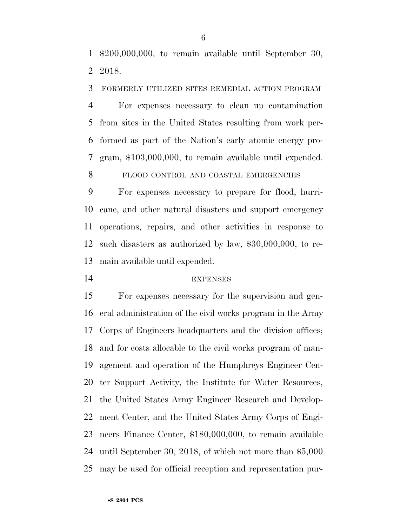\$200,000,000, to remain available until September 30, 2018.

FORMERLY UTILIZED SITES REMEDIAL ACTION PROGRAM

 For expenses necessary to clean up contamination from sites in the United States resulting from work per- formed as part of the Nation's early atomic energy pro-gram, \$103,000,000, to remain available until expended.

FLOOD CONTROL AND COASTAL EMERGENCIES

 For expenses necessary to prepare for flood, hurri- cane, and other natural disasters and support emergency operations, repairs, and other activities in response to such disasters as authorized by law, \$30,000,000, to re-main available until expended.

#### EXPENSES

 For expenses necessary for the supervision and gen- eral administration of the civil works program in the Army Corps of Engineers headquarters and the division offices; and for costs allocable to the civil works program of man- agement and operation of the Humphreys Engineer Cen- ter Support Activity, the Institute for Water Resources, the United States Army Engineer Research and Develop- ment Center, and the United States Army Corps of Engi- neers Finance Center, \$180,000,000, to remain available until September 30, 2018, of which not more than \$5,000 may be used for official reception and representation pur-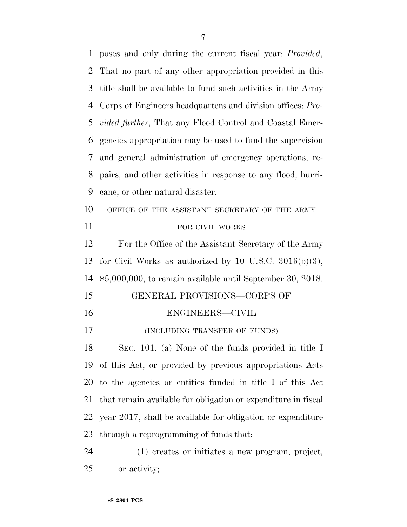poses and only during the current fiscal year: *Provided*, That no part of any other appropriation provided in this title shall be available to fund such activities in the Army Corps of Engineers headquarters and division offices: *Pro- vided further*, That any Flood Control and Coastal Emer- gencies appropriation may be used to fund the supervision and general administration of emergency operations, re- pairs, and other activities in response to any flood, hurri- cane, or other natural disaster. 10 OFFICE OF THE ASSISTANT SECRETARY OF THE ARMY 11 FOR CIVIL WORKS For the Office of the Assistant Secretary of the Army for Civil Works as authorized by 10 U.S.C. 3016(b)(3), \$5,000,000, to remain available until September 30, 2018. GENERAL PROVISIONS—CORPS OF ENGINEERS—CIVIL **(INCLUDING TRANSFER OF FUNDS)**  SEC. 101. (a) None of the funds provided in title I of this Act, or provided by previous appropriations Acts to the agencies or entities funded in title I of this Act that remain available for obligation or expenditure in fiscal year 2017, shall be available for obligation or expenditure through a reprogramming of funds that: (1) creates or initiates a new program, project,

or activity;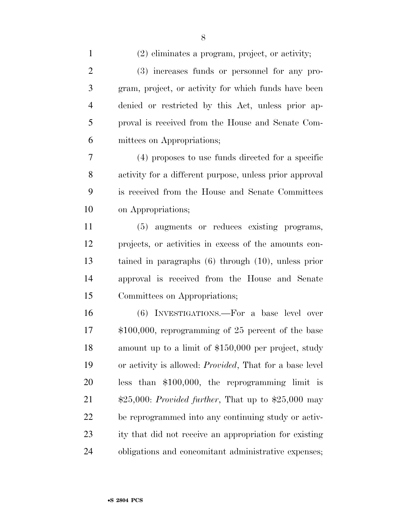(2) eliminates a program, project, or activity;

 (3) increases funds or personnel for any pro- gram, project, or activity for which funds have been denied or restricted by this Act, unless prior ap- proval is received from the House and Senate Com-mittees on Appropriations;

 (4) proposes to use funds directed for a specific activity for a different purpose, unless prior approval is received from the House and Senate Committees on Appropriations;

 (5) augments or reduces existing programs, projects, or activities in excess of the amounts con- tained in paragraphs (6) through (10), unless prior approval is received from the House and Senate Committees on Appropriations;

 (6) INVESTIGATIONS.—For a base level over \$100,000, reprogramming of 25 percent of the base amount up to a limit of \$150,000 per project, study or activity is allowed: *Provided*, That for a base level less than \$100,000, the reprogramming limit is \$25,000: *Provided further*, That up to \$25,000 may be reprogrammed into any continuing study or activ- ity that did not receive an appropriation for existing obligations and concomitant administrative expenses;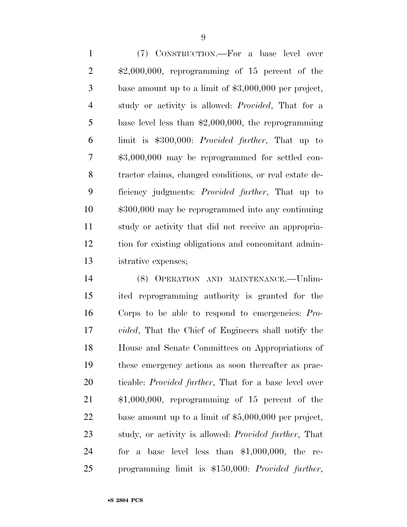(7) CONSTRUCTION.—For a base level over \$2,000,000, reprogramming of 15 percent of the base amount up to a limit of \$3,000,000 per project, study or activity is allowed: *Provided*, That for a base level less than \$2,000,000, the reprogramming limit is \$300,000: *Provided further*, That up to \$3,000,000 may be reprogrammed for settled con- tractor claims, changed conditions, or real estate de- ficiency judgments: *Provided further*, That up to \$300,000 may be reprogrammed into any continuing study or activity that did not receive an appropria- tion for existing obligations and concomitant admin-istrative expenses;

 (8) OPERATION AND MAINTENANCE.—Unlim- ited reprogramming authority is granted for the Corps to be able to respond to emergencies: *Pro- vided*, That the Chief of Engineers shall notify the House and Senate Committees on Appropriations of these emergency actions as soon thereafter as prac- ticable: *Provided further*, That for a base level over \$1,000,000, reprogramming of 15 percent of the base amount up to a limit of \$5,000,000 per project, study, or activity is allowed: *Provided further*, That for a base level less than \$1,000,000, the re-programming limit is \$150,000: *Provided further*,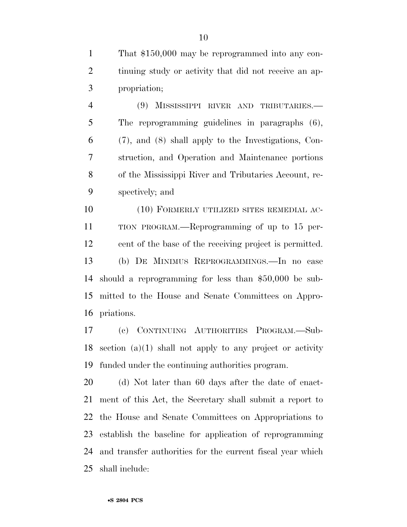That \$150,000 may be reprogrammed into any con- tinuing study or activity that did not receive an ap-propriation;

 (9) MISSISSIPPI RIVER AND TRIBUTARIES.— The reprogramming guidelines in paragraphs (6), (7), and (8) shall apply to the Investigations, Con- struction, and Operation and Maintenance portions of the Mississippi River and Tributaries Account, re-spectively; and

10 (10) FORMERLY UTILIZED SITES REMEDIAL AC- TION PROGRAM.—Reprogramming of up to 15 per- cent of the base of the receiving project is permitted. (b) DE MINIMUS REPROGRAMMINGS.—In no case should a reprogramming for less than \$50,000 be sub- mitted to the House and Senate Committees on Appro-priations.

 (c) CONTINUING AUTHORITIES PROGRAM.—Sub- section (a)(1) shall not apply to any project or activity funded under the continuing authorities program.

 (d) Not later than 60 days after the date of enact- ment of this Act, the Secretary shall submit a report to the House and Senate Committees on Appropriations to establish the baseline for application of reprogramming and transfer authorities for the current fiscal year which shall include: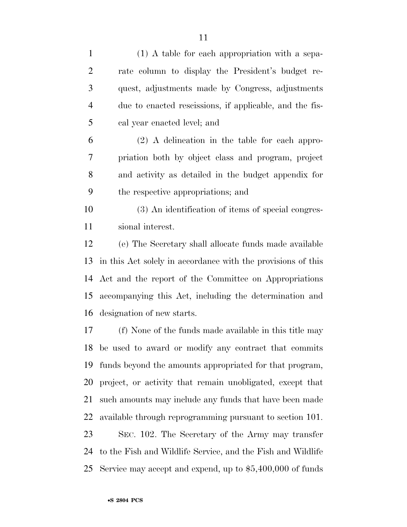| $\mathbf{1}$   | $(1)$ A table for each appropriation with a sepa-            |
|----------------|--------------------------------------------------------------|
| $\overline{2}$ | rate column to display the President's budget re-            |
| 3              | quest, adjustments made by Congress, adjustments             |
| $\overline{4}$ | due to enacted rescissions, if applicable, and the fis-      |
| 5              | cal year enacted level; and                                  |
| 6              | $(2)$ A delineation in the table for each appro-             |
| 7              | priation both by object class and program, project           |
| 8              | and activity as detailed in the budget appendix for          |
| 9              | the respective appropriations; and                           |
| 10             | (3) An identification of items of special congres-           |
| 11             | sional interest.                                             |
| 12             | (e) The Secretary shall allocate funds made available        |
| 13             | in this Act solely in accordance with the provisions of this |
| 14             | Act and the report of the Committee on Appropriations        |
| 15             | accompanying this Act, including the determination and       |
| 16             | designation of new starts.                                   |
| 17             | (f) None of the funds made available in this title may       |
|                | 18 be used to award or modify any contract that commits      |
| 19             | funds beyond the amounts appropriated for that program,      |
| 20             | project, or activity that remain unobligated, except that    |
| 21             | such amounts may include any funds that have been made       |
| 22             | available through reprogramming pursuant to section 101.     |
| 23             | SEC. 102. The Secretary of the Army may transfer             |
| 24             | to the Fish and Wildlife Service, and the Fish and Wildlife  |
| 25             | Service may accept and expend, up to $$5,400,000$ of funds   |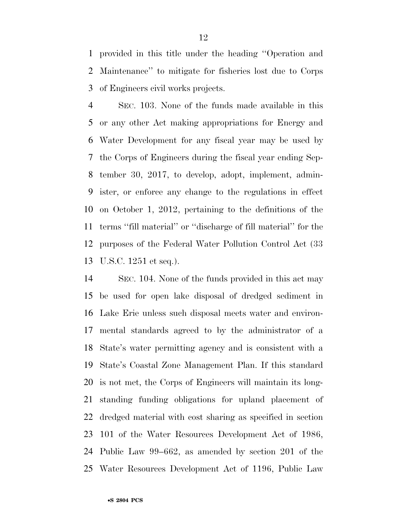provided in this title under the heading ''Operation and Maintenance'' to mitigate for fisheries lost due to Corps of Engineers civil works projects.

 SEC. 103. None of the funds made available in this or any other Act making appropriations for Energy and Water Development for any fiscal year may be used by the Corps of Engineers during the fiscal year ending Sep- tember 30, 2017, to develop, adopt, implement, admin- ister, or enforce any change to the regulations in effect on October 1, 2012, pertaining to the definitions of the terms ''fill material'' or ''discharge of fill material'' for the purposes of the Federal Water Pollution Control Act (33 U.S.C. 1251 et seq.).

 SEC. 104. None of the funds provided in this act may be used for open lake disposal of dredged sediment in Lake Erie unless such disposal meets water and environ- mental standards agreed to by the administrator of a State's water permitting agency and is consistent with a State's Coastal Zone Management Plan. If this standard is not met, the Corps of Engineers will maintain its long- standing funding obligations for upland placement of dredged material with cost sharing as specified in section 101 of the Water Resources Development Act of 1986, Public Law 99–662, as amended by section 201 of the Water Resources Development Act of 1196, Public Law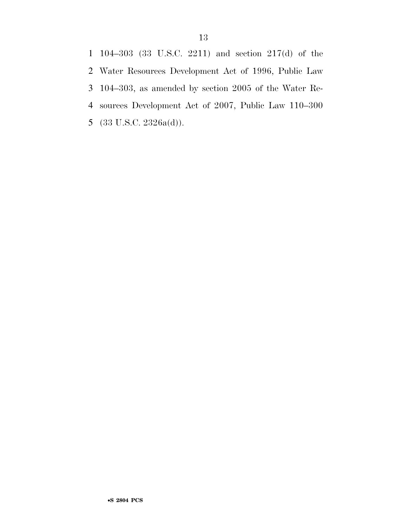104–303 (33 U.S.C. 2211) and section 217(d) of the Water Resources Development Act of 1996, Public Law 104–303, as amended by section 2005 of the Water Re- sources Development Act of 2007, Public Law 110–300 (33 U.S.C. 2326a(d)).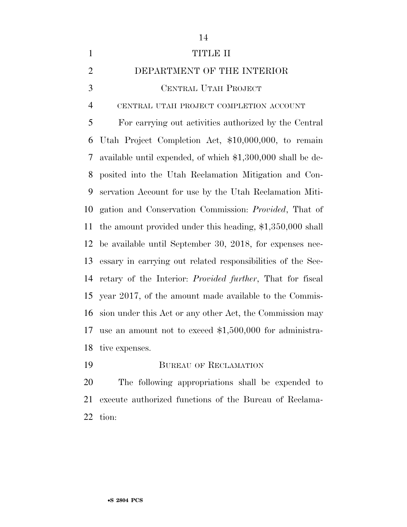| $\mathbf{1}$   | <b>TITLE II</b>                                               |
|----------------|---------------------------------------------------------------|
| $\overline{2}$ | DEPARTMENT OF THE INTERIOR                                    |
| 3              | CENTRAL UTAH PROJECT                                          |
| $\overline{4}$ | CENTRAL UTAH PROJECT COMPLETION ACCOUNT                       |
| 5              | For carrying out activities authorized by the Central         |
| 6              | Utah Project Completion Act, \$10,000,000, to remain          |
| 7              | available until expended, of which \$1,300,000 shall be de-   |
| 8              | posited into the Utah Reclamation Mitigation and Con-         |
| 9              | servation Account for use by the Utah Reclamation Miti-       |
| 10             | gation and Conservation Commission: <i>Provided</i> , That of |
| 11             | the amount provided under this heading, $$1,350,000$ shall    |
| 12             | be available until September 30, 2018, for expenses nec-      |
| 13             | essary in carrying out related responsibilities of the Sec-   |
| 14             | retary of the Interior: Provided further, That for fiscal     |
| 15             | year 2017, of the amount made available to the Commis-        |
| 16             | sion under this Act or any other Act, the Commission may      |
| 17             | use an amount not to exceed $$1,500,000$ for administra-      |
| 18             | tive expenses.                                                |
| 19             | <b>BUREAU OF RECLAMATION</b>                                  |

 The following appropriations shall be expended to execute authorized functions of the Bureau of Reclama-tion: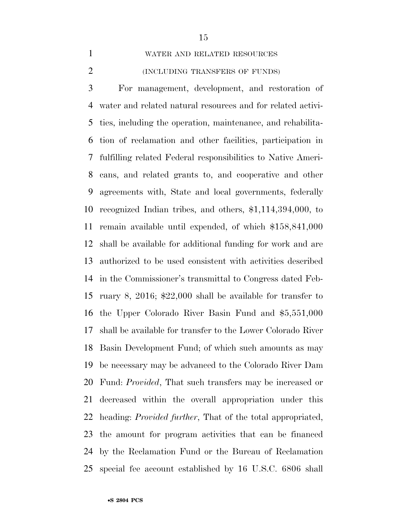WATER AND RELATED RESOURCES

#### (INCLUDING TRANSFERS OF FUNDS)

 For management, development, and restoration of water and related natural resources and for related activi- ties, including the operation, maintenance, and rehabilita- tion of reclamation and other facilities, participation in fulfilling related Federal responsibilities to Native Ameri- cans, and related grants to, and cooperative and other agreements with, State and local governments, federally recognized Indian tribes, and others, \$1,114,394,000, to remain available until expended, of which \$158,841,000 shall be available for additional funding for work and are authorized to be used consistent with activities described in the Commissioner's transmittal to Congress dated Feb- ruary 8, 2016; \$22,000 shall be available for transfer to the Upper Colorado River Basin Fund and \$5,551,000 shall be available for transfer to the Lower Colorado River Basin Development Fund; of which such amounts as may be necessary may be advanced to the Colorado River Dam Fund: *Provided*, That such transfers may be increased or decreased within the overall appropriation under this heading: *Provided further*, That of the total appropriated, the amount for program activities that can be financed by the Reclamation Fund or the Bureau of Reclamation special fee account established by 16 U.S.C. 6806 shall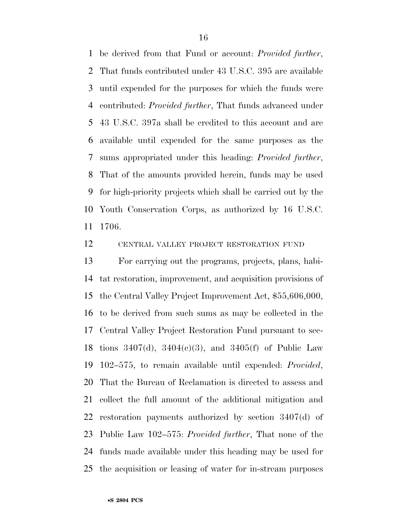be derived from that Fund or account: *Provided further*, That funds contributed under 43 U.S.C. 395 are available until expended for the purposes for which the funds were contributed: *Provided further*, That funds advanced under 43 U.S.C. 397a shall be credited to this account and are available until expended for the same purposes as the sums appropriated under this heading: *Provided further*, That of the amounts provided herein, funds may be used for high-priority projects which shall be carried out by the Youth Conservation Corps, as authorized by 16 U.S.C. 1706.

CENTRAL VALLEY PROJECT RESTORATION FUND

 For carrying out the programs, projects, plans, habi- tat restoration, improvement, and acquisition provisions of the Central Valley Project Improvement Act, \$55,606,000, to be derived from such sums as may be collected in the Central Valley Project Restoration Fund pursuant to sec- tions 3407(d), 3404(c)(3), and 3405(f) of Public Law 102–575, to remain available until expended: *Provided*, That the Bureau of Reclamation is directed to assess and collect the full amount of the additional mitigation and restoration payments authorized by section 3407(d) of Public Law 102–575: *Provided further*, That none of the funds made available under this heading may be used for the acquisition or leasing of water for in-stream purposes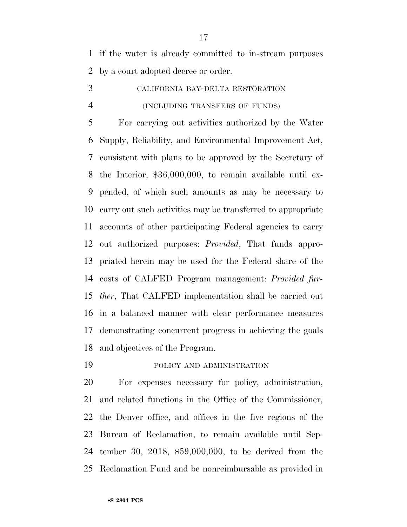if the water is already committed to in-stream purposes by a court adopted decree or order.

 CALIFORNIA BAY-DELTA RESTORATION (INCLUDING TRANSFERS OF FUNDS)

 For carrying out activities authorized by the Water Supply, Reliability, and Environmental Improvement Act, consistent with plans to be approved by the Secretary of the Interior, \$36,000,000, to remain available until ex- pended, of which such amounts as may be necessary to carry out such activities may be transferred to appropriate accounts of other participating Federal agencies to carry out authorized purposes: *Provided*, That funds appro- priated herein may be used for the Federal share of the costs of CALFED Program management: *Provided fur- ther*, That CALFED implementation shall be carried out in a balanced manner with clear performance measures demonstrating concurrent progress in achieving the goals and objectives of the Program.

POLICY AND ADMINISTRATION

 For expenses necessary for policy, administration, and related functions in the Office of the Commissioner, the Denver office, and offices in the five regions of the Bureau of Reclamation, to remain available until Sep- tember 30, 2018, \$59,000,000, to be derived from the Reclamation Fund and be nonreimbursable as provided in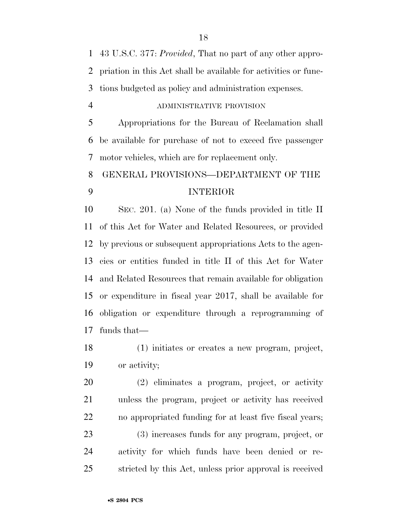43 U.S.C. 377: *Provided*, That no part of any other appro- priation in this Act shall be available for activities or func-tions budgeted as policy and administration expenses.

#### ADMINISTRATIVE PROVISION

 Appropriations for the Bureau of Reclamation shall be available for purchase of not to exceed five passenger motor vehicles, which are for replacement only.

## GENERAL PROVISIONS—DEPARTMENT OF THE INTERIOR

 SEC. 201. (a) None of the funds provided in title II of this Act for Water and Related Resources, or provided by previous or subsequent appropriations Acts to the agen- cies or entities funded in title II of this Act for Water and Related Resources that remain available for obligation or expenditure in fiscal year 2017, shall be available for obligation or expenditure through a reprogramming of funds that—

 (1) initiates or creates a new program, project, or activity;

 (2) eliminates a program, project, or activity unless the program, project or activity has received no appropriated funding for at least five fiscal years; (3) increases funds for any program, project, or activity for which funds have been denied or re-stricted by this Act, unless prior approval is received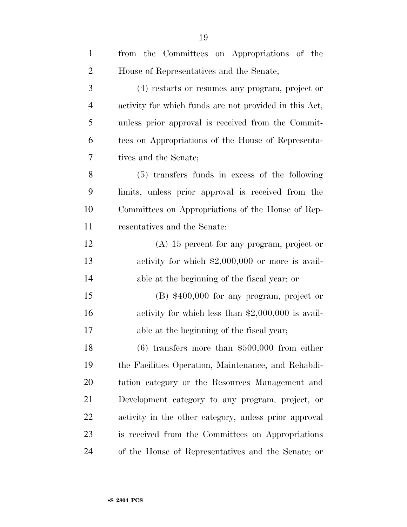| $\mathbf{1}$   | from the Committees on Appropriations of the           |
|----------------|--------------------------------------------------------|
| $\overline{2}$ | House of Representatives and the Senate;               |
| 3              | (4) restarts or resumes any program, project or        |
| $\overline{4}$ | activity for which funds are not provided in this Act, |
| 5              | unless prior approval is received from the Commit-     |
| 6              | tees on Appropriations of the House of Representa-     |
| 7              | tives and the Senate;                                  |
| 8              | (5) transfers funds in excess of the following         |
| 9              | limits, unless prior approval is received from the     |
| 10             | Committees on Appropriations of the House of Rep-      |
| 11             | resentatives and the Senate:                           |
| 12             | $(A)$ 15 percent for any program, project or           |
| 13             | activity for which $$2,000,000$ or more is avail-      |
| 14             | able at the beginning of the fiscal year; or           |
| 15             | $(B)$ \$400,000 for any program, project or            |
| 16             | activity for which less than $$2,000,000$ is avail-    |
| 17             | able at the beginning of the fiscal year;              |
| 18             | $(6)$ transfers more than \$500,000 from either        |
| 19             | the Facilities Operation, Maintenance, and Rehabili-   |
| 20             | tation category or the Resources Management and        |
| 21             | Development category to any program, project, or       |
| 22             | activity in the other category, unless prior approval  |
| 23             | is received from the Committees on Appropriations      |
| 24             | of the House of Representatives and the Senate; or     |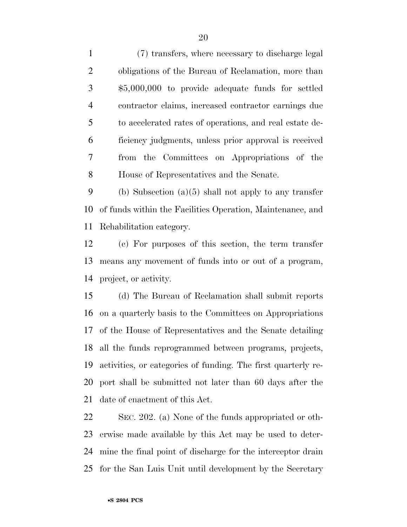(7) transfers, where necessary to discharge legal obligations of the Bureau of Reclamation, more than \$5,000,000 to provide adequate funds for settled contractor claims, increased contractor earnings due to accelerated rates of operations, and real estate de- ficiency judgments, unless prior approval is received from the Committees on Appropriations of the House of Representatives and the Senate.

 (b) Subsection (a)(5) shall not apply to any transfer of funds within the Facilities Operation, Maintenance, and Rehabilitation category.

 (c) For purposes of this section, the term transfer means any movement of funds into or out of a program, project, or activity.

 (d) The Bureau of Reclamation shall submit reports on a quarterly basis to the Committees on Appropriations of the House of Representatives and the Senate detailing all the funds reprogrammed between programs, projects, activities, or categories of funding. The first quarterly re- port shall be submitted not later than 60 days after the date of enactment of this Act.

 SEC. 202. (a) None of the funds appropriated or oth- erwise made available by this Act may be used to deter- mine the final point of discharge for the interceptor drain for the San Luis Unit until development by the Secretary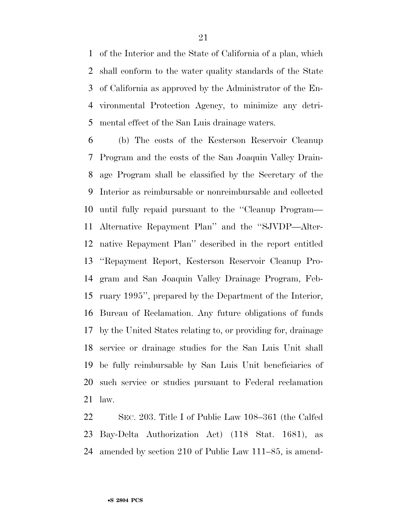of the Interior and the State of California of a plan, which shall conform to the water quality standards of the State of California as approved by the Administrator of the En- vironmental Protection Agency, to minimize any detri-mental effect of the San Luis drainage waters.

 (b) The costs of the Kesterson Reservoir Cleanup Program and the costs of the San Joaquin Valley Drain- age Program shall be classified by the Secretary of the Interior as reimbursable or nonreimbursable and collected until fully repaid pursuant to the ''Cleanup Program— Alternative Repayment Plan'' and the ''SJVDP—Alter- native Repayment Plan'' described in the report entitled ''Repayment Report, Kesterson Reservoir Cleanup Pro- gram and San Joaquin Valley Drainage Program, Feb- ruary 1995'', prepared by the Department of the Interior, Bureau of Reclamation. Any future obligations of funds by the United States relating to, or providing for, drainage service or drainage studies for the San Luis Unit shall be fully reimbursable by San Luis Unit beneficiaries of such service or studies pursuant to Federal reclamation law.

 SEC. 203. Title I of Public Law 108–361 (the Calfed Bay-Delta Authorization Act) (118 Stat. 1681), as amended by section 210 of Public Law 111–85, is amend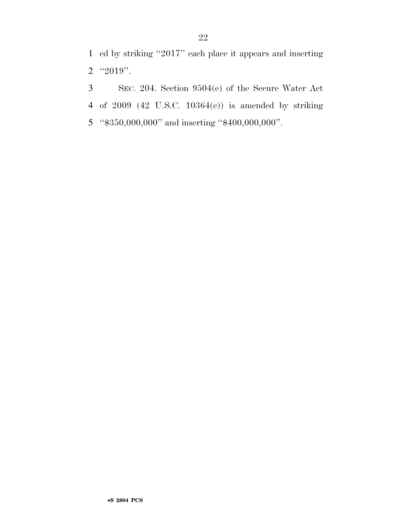ed by striking ''2017'' each place it appears and inserting ''2019''.

 SEC. 204. Section 9504(e) of the Secure Water Act of 2009 (42 U.S.C. 10364(e)) is amended by striking ''\$350,000,000'' and inserting ''\$400,000,000''.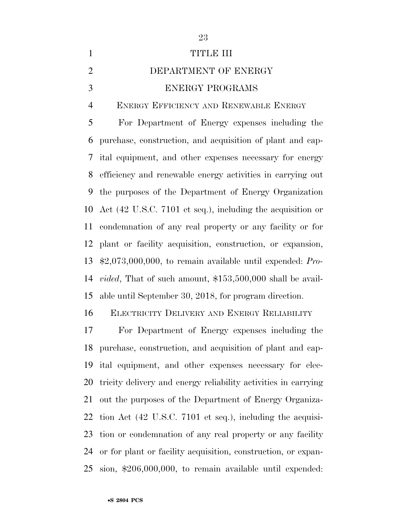| $\mathbf{1}$   | <b>TITLE III</b>                                                   |
|----------------|--------------------------------------------------------------------|
| $\overline{2}$ | DEPARTMENT OF ENERGY                                               |
| 3              | <b>ENERGY PROGRAMS</b>                                             |
| $\overline{4}$ | ENERGY EFFICIENCY AND RENEWABLE ENERGY                             |
| 5              | For Department of Energy expenses including the                    |
| 6              | purchase, construction, and acquisition of plant and cap-          |
| 7              | ital equipment, and other expenses necessary for energy            |
| 8              | efficiency and renewable energy activities in carrying out         |
| 9              | the purposes of the Department of Energy Organization              |
| 10             | Act (42 U.S.C. 7101 et seq.), including the acquisition or         |
| 11             | condemnation of any real property or any facility or for           |
|                | 12 plant or facility acquisition, construction, or expansion,      |
| 13             | $$2,073,000,000$ , to remain available until expended: Pro-        |
| 14             | <i>vided</i> , That of such amount, $$153,500,000$ shall be avail- |
|                | 15 able until September 30, 2018, for program direction.           |

ELECTRICITY DELIVERY AND ENERGY RELIABILITY

 For Department of Energy expenses including the purchase, construction, and acquisition of plant and cap- ital equipment, and other expenses necessary for elec- tricity delivery and energy reliability activities in carrying out the purposes of the Department of Energy Organiza- tion Act (42 U.S.C. 7101 et seq.), including the acquisi- tion or condemnation of any real property or any facility or for plant or facility acquisition, construction, or expan-sion, \$206,000,000, to remain available until expended: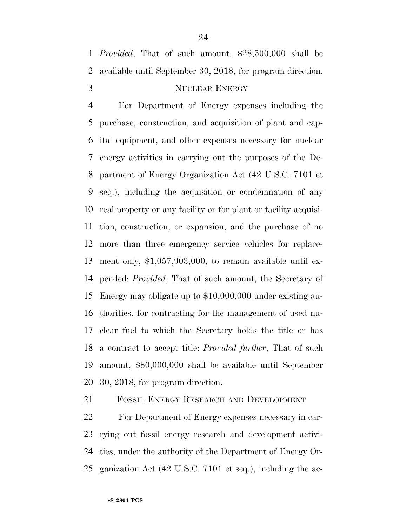*Provided*, That of such amount, \$28,500,000 shall be available until September 30, 2018, for program direction.

## 3 NUCLEAR ENERGY

 For Department of Energy expenses including the purchase, construction, and acquisition of plant and cap- ital equipment, and other expenses necessary for nuclear energy activities in carrying out the purposes of the De- partment of Energy Organization Act (42 U.S.C. 7101 et seq.), including the acquisition or condemnation of any real property or any facility or for plant or facility acquisi- tion, construction, or expansion, and the purchase of no more than three emergency service vehicles for replace- ment only, \$1,057,903,000, to remain available until ex- pended: *Provided*, That of such amount, the Secretary of Energy may obligate up to \$10,000,000 under existing au- thorities, for contracting for the management of used nu- clear fuel to which the Secretary holds the title or has a contract to accept title: *Provided further*, That of such amount, \$80,000,000 shall be available until September 30, 2018, for program direction.

FOSSIL ENERGY RESEARCH AND DEVELOPMENT

 For Department of Energy expenses necessary in car- rying out fossil energy research and development activi- ties, under the authority of the Department of Energy Or-ganization Act (42 U.S.C. 7101 et seq.), including the ac-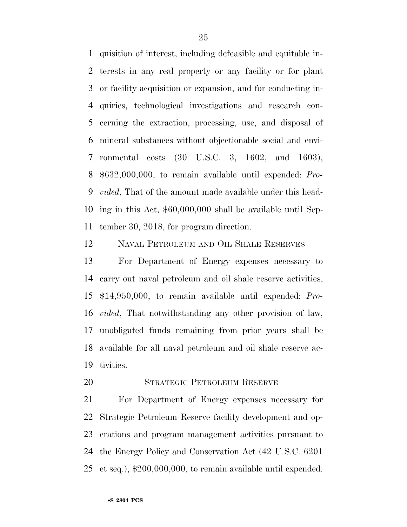quisition of interest, including defeasible and equitable in- terests in any real property or any facility or for plant or facility acquisition or expansion, and for conducting in- quiries, technological investigations and research con- cerning the extraction, processing, use, and disposal of mineral substances without objectionable social and envi- ronmental costs (30 U.S.C. 3, 1602, and 1603), \$632,000,000, to remain available until expended: *Pro- vided*, That of the amount made available under this head- ing in this Act, \$60,000,000 shall be available until Sep-tember 30, 2018, for program direction.

NAVAL PETROLEUM AND OIL SHALE RESERVES

 For Department of Energy expenses necessary to carry out naval petroleum and oil shale reserve activities, \$14,950,000, to remain available until expended: *Pro- vided*, That notwithstanding any other provision of law, unobligated funds remaining from prior years shall be available for all naval petroleum and oil shale reserve ac-tivities.

STRATEGIC PETROLEUM RESERVE

 For Department of Energy expenses necessary for Strategic Petroleum Reserve facility development and op- erations and program management activities pursuant to the Energy Policy and Conservation Act (42 U.S.C. 6201 et seq.), \$200,000,000, to remain available until expended.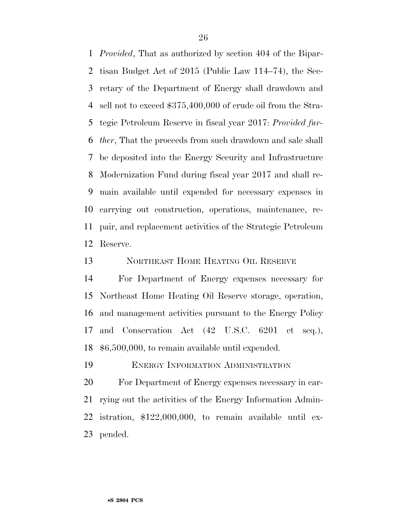*Provided*, That as authorized by section 404 of the Bipar- tisan Budget Act of 2015 (Public Law 114–74), the Sec- retary of the Department of Energy shall drawdown and sell not to exceed \$375,400,000 of crude oil from the Stra- tegic Petroleum Reserve in fiscal year 2017: *Provided fur- ther*, That the proceeds from such drawdown and sale shall be deposited into the Energy Security and Infrastructure Modernization Fund during fiscal year 2017 and shall re- main available until expended for necessary expenses in carrying out construction, operations, maintenance, re- pair, and replacement activities of the Strategic Petroleum Reserve.

13 NORTHEAST HOME HEATING OIL RESERVE

 For Department of Energy expenses necessary for Northeast Home Heating Oil Reserve storage, operation, and management activities pursuant to the Energy Policy and Conservation Act (42 U.S.C. 6201 et seq.), \$6,500,000, to remain available until expended.

ENERGY INFORMATION ADMINISTRATION

 For Department of Energy expenses necessary in car- rying out the activities of the Energy Information Admin- istration, \$122,000,000, to remain available until ex-pended.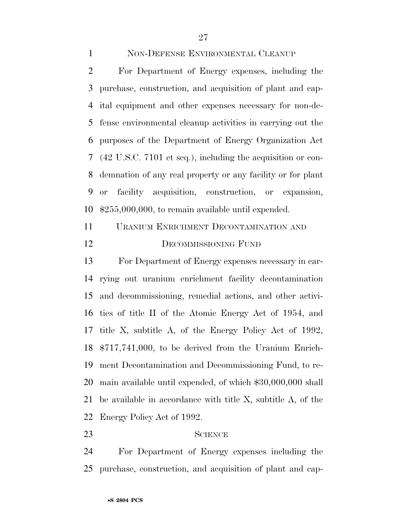#### NON-DEFENSE ENVIRONMENTAL CLEANUP

 For Department of Energy expenses, including the purchase, construction, and acquisition of plant and cap- ital equipment and other expenses necessary for non-de- fense environmental cleanup activities in carrying out the purposes of the Department of Energy Organization Act (42 U.S.C. 7101 et seq.), including the acquisition or con- demnation of any real property or any facility or for plant or facility acquisition, construction, or expansion, \$255,000,000, to remain available until expended.

## URANIUM ENRICHMENT DECONTAMINATION AND 12 DECOMMISSIONING FUND

 For Department of Energy expenses necessary in car- rying out uranium enrichment facility decontamination and decommissioning, remedial actions, and other activi- ties of title II of the Atomic Energy Act of 1954, and title X, subtitle A, of the Energy Policy Act of 1992, \$717,741,000, to be derived from the Uranium Enrich- ment Decontamination and Decommissioning Fund, to re- main available until expended, of which \$30,000,000 shall be available in accordance with title X, subtitle A, of the Energy Policy Act of 1992.

#### 23 SCIENCE

 For Department of Energy expenses including the purchase, construction, and acquisition of plant and cap-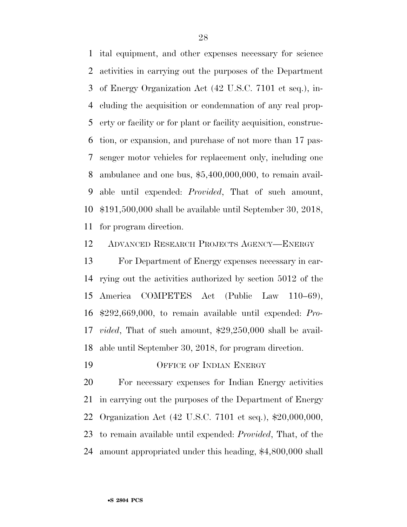ital equipment, and other expenses necessary for science activities in carrying out the purposes of the Department of Energy Organization Act (42 U.S.C. 7101 et seq.), in- cluding the acquisition or condemnation of any real prop- erty or facility or for plant or facility acquisition, construc- tion, or expansion, and purchase of not more than 17 pas- senger motor vehicles for replacement only, including one ambulance and one bus, \$5,400,000,000, to remain avail- able until expended: *Provided*, That of such amount, \$191,500,000 shall be available until September 30, 2018, for program direction.

ADVANCED RESEARCH PROJECTS AGENCY—ENERGY

 For Department of Energy expenses necessary in car- rying out the activities authorized by section 5012 of the America COMPETES Act (Public Law 110–69), \$292,669,000, to remain available until expended: *Pro- vided*, That of such amount, \$29,250,000 shall be avail-able until September 30, 2018, for program direction.

19 OFFICE OF INDIAN ENERGY

 For necessary expenses for Indian Energy activities in carrying out the purposes of the Department of Energy Organization Act (42 U.S.C. 7101 et seq.), \$20,000,000, to remain available until expended: *Provided*, That, of the amount appropriated under this heading, \$4,800,000 shall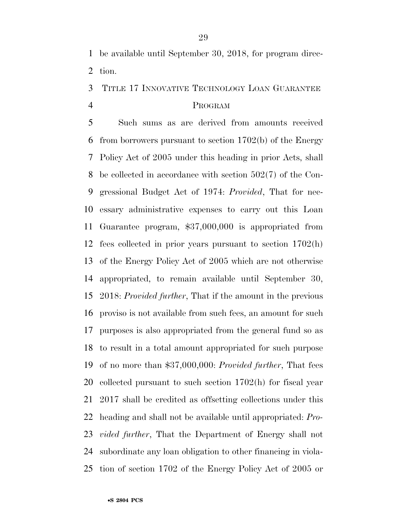be available until September 30, 2018, for program direc-tion.

## TITLE 17 INNOVATIVE TECHNOLOGY LOAN GUARANTEE PROGRAM

 Such sums as are derived from amounts received from borrowers pursuant to section 1702(b) of the Energy Policy Act of 2005 under this heading in prior Acts, shall be collected in accordance with section 502(7) of the Con- gressional Budget Act of 1974: *Provided*, That for nec- essary administrative expenses to carry out this Loan Guarantee program, \$37,000,000 is appropriated from fees collected in prior years pursuant to section 1702(h) of the Energy Policy Act of 2005 which are not otherwise appropriated, to remain available until September 30, 2018: *Provided further*, That if the amount in the previous proviso is not available from such fees, an amount for such purposes is also appropriated from the general fund so as to result in a total amount appropriated for such purpose of no more than \$37,000,000: *Provided further*, That fees collected pursuant to such section 1702(h) for fiscal year 2017 shall be credited as offsetting collections under this heading and shall not be available until appropriated: *Pro- vided further*, That the Department of Energy shall not subordinate any loan obligation to other financing in viola-tion of section 1702 of the Energy Policy Act of 2005 or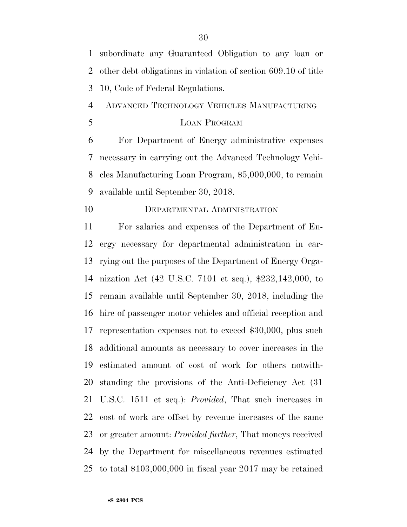subordinate any Guaranteed Obligation to any loan or other debt obligations in violation of section 609.10 of title 10, Code of Federal Regulations.

ADVANCED TECHNOLOGY VEHICLES MANUFACTURING

LOAN PROGRAM

 For Department of Energy administrative expenses necessary in carrying out the Advanced Technology Vehi- cles Manufacturing Loan Program, \$5,000,000, to remain available until September 30, 2018.

#### DEPARTMENTAL ADMINISTRATION

 For salaries and expenses of the Department of En- ergy necessary for departmental administration in car- rying out the purposes of the Department of Energy Orga- nization Act (42 U.S.C. 7101 et seq.), \$232,142,000, to remain available until September 30, 2018, including the hire of passenger motor vehicles and official reception and representation expenses not to exceed \$30,000, plus such additional amounts as necessary to cover increases in the estimated amount of cost of work for others notwith- standing the provisions of the Anti-Deficiency Act (31 U.S.C. 1511 et seq.): *Provided*, That such increases in cost of work are offset by revenue increases of the same or greater amount: *Provided further*, That moneys received by the Department for miscellaneous revenues estimated to total \$103,000,000 in fiscal year 2017 may be retained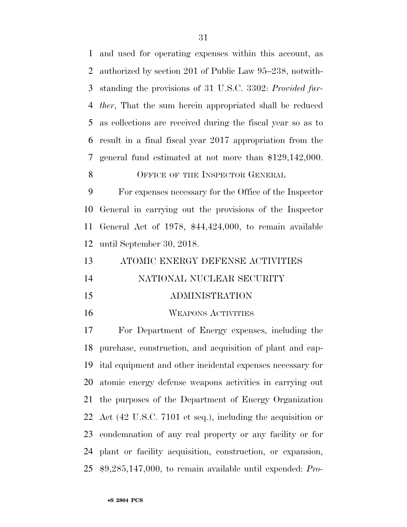and used for operating expenses within this account, as authorized by section 201 of Public Law 95–238, notwith- standing the provisions of 31 U.S.C. 3302: *Provided fur- ther*, That the sum herein appropriated shall be reduced as collections are received during the fiscal year so as to result in a final fiscal year 2017 appropriation from the general fund estimated at not more than \$129,142,000.

#### 8 OFFICE OF THE INSPECTOR GENERAL

 For expenses necessary for the Office of the Inspector General in carrying out the provisions of the Inspector General Act of 1978, \$44,424,000, to remain available until September 30, 2018.

| 13 | ATOMIC ENERGY DEFENSE ACTIVITIES |
|----|----------------------------------|
| 14 | NATIONAL NUCLEAR SECURITY        |
|    |                                  |

#### ADMINISTRATION

WEAPONS ACTIVITIES

 For Department of Energy expenses, including the purchase, construction, and acquisition of plant and cap- ital equipment and other incidental expenses necessary for atomic energy defense weapons activities in carrying out the purposes of the Department of Energy Organization Act (42 U.S.C. 7101 et seq.), including the acquisition or condemnation of any real property or any facility or for plant or facility acquisition, construction, or expansion, \$9,285,147,000, to remain available until expended: *Pro-*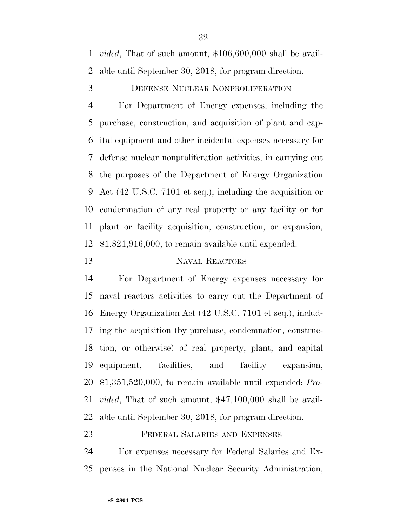*vided*, That of such amount, \$106,600,000 shall be avail-able until September 30, 2018, for program direction.

#### DEFENSE NUCLEAR NONPROLIFERATION

 For Department of Energy expenses, including the purchase, construction, and acquisition of plant and cap- ital equipment and other incidental expenses necessary for defense nuclear nonproliferation activities, in carrying out the purposes of the Department of Energy Organization Act (42 U.S.C. 7101 et seq.), including the acquisition or condemnation of any real property or any facility or for plant or facility acquisition, construction, or expansion, \$1,821,916,000, to remain available until expended.

#### NAVAL REACTORS

 For Department of Energy expenses necessary for naval reactors activities to carry out the Department of Energy Organization Act (42 U.S.C. 7101 et seq.), includ- ing the acquisition (by purchase, condemnation, construc- tion, or otherwise) of real property, plant, and capital equipment, facilities, and facility expansion, \$1,351,520,000, to remain available until expended: *Pro- vided*, That of such amount, \$47,100,000 shall be avail-able until September 30, 2018, for program direction.

FEDERAL SALARIES AND EXPENSES

 For expenses necessary for Federal Salaries and Ex-penses in the National Nuclear Security Administration,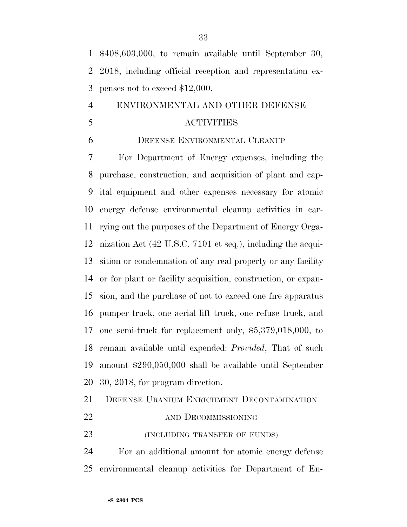\$408,603,000, to remain available until September 30, 2018, including official reception and representation ex-penses not to exceed \$12,000.

## ENVIRONMENTAL AND OTHER DEFENSE ACTIVITIES

#### DEFENSE ENVIRONMENTAL CLEANUP

 For Department of Energy expenses, including the purchase, construction, and acquisition of plant and cap- ital equipment and other expenses necessary for atomic energy defense environmental cleanup activities in car- rying out the purposes of the Department of Energy Orga- nization Act (42 U.S.C. 7101 et seq.), including the acqui- sition or condemnation of any real property or any facility or for plant or facility acquisition, construction, or expan- sion, and the purchase of not to exceed one fire apparatus pumper truck, one aerial lift truck, one refuse truck, and one semi-truck for replacement only, \$5,379,018,000, to remain available until expended: *Provided*, That of such amount \$290,050,000 shall be available until September 30, 2018, for program direction.

DEFENSE URANIUM ENRICHMENT DECONTAMINATION

AND DECOMMISSIONING

(INCLUDING TRANSFER OF FUNDS)

 For an additional amount for atomic energy defense environmental cleanup activities for Department of En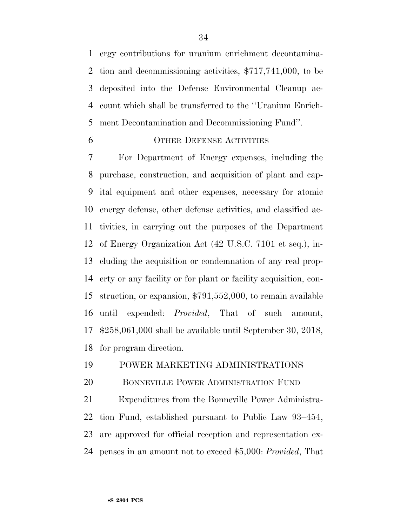ergy contributions for uranium enrichment decontamina- tion and decommissioning activities, \$717,741,000, to be deposited into the Defense Environmental Cleanup ac- count which shall be transferred to the ''Uranium Enrich-ment Decontamination and Decommissioning Fund''.

#### OTHER DEFENSE ACTIVITIES

 For Department of Energy expenses, including the purchase, construction, and acquisition of plant and cap- ital equipment and other expenses, necessary for atomic energy defense, other defense activities, and classified ac- tivities, in carrying out the purposes of the Department of Energy Organization Act (42 U.S.C. 7101 et seq.), in- cluding the acquisition or condemnation of any real prop- erty or any facility or for plant or facility acquisition, con- struction, or expansion, \$791,552,000, to remain available until expended: *Provided*, That of such amount, \$258,061,000 shall be available until September 30, 2018, for program direction.

#### POWER MARKETING ADMINISTRATIONS

20 BONNEVILLE POWER ADMINISTRATION FUND

 Expenditures from the Bonneville Power Administra- tion Fund, established pursuant to Public Law 93–454, are approved for official reception and representation ex-penses in an amount not to exceed \$5,000: *Provided*, That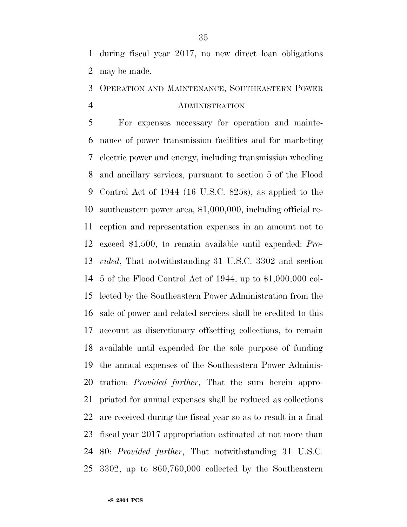during fiscal year 2017, no new direct loan obligations may be made.

## OPERATION AND MAINTENANCE, SOUTHEASTERN POWER ADMINISTRATION

 For expenses necessary for operation and mainte- nance of power transmission facilities and for marketing electric power and energy, including transmission wheeling and ancillary services, pursuant to section 5 of the Flood Control Act of 1944 (16 U.S.C. 825s), as applied to the southeastern power area, \$1,000,000, including official re- ception and representation expenses in an amount not to exceed \$1,500, to remain available until expended: *Pro- vided*, That notwithstanding 31 U.S.C. 3302 and section 5 of the Flood Control Act of 1944, up to \$1,000,000 col- lected by the Southeastern Power Administration from the sale of power and related services shall be credited to this account as discretionary offsetting collections, to remain available until expended for the sole purpose of funding the annual expenses of the Southeastern Power Adminis- tration: *Provided further*, That the sum herein appro- priated for annual expenses shall be reduced as collections are received during the fiscal year so as to result in a final fiscal year 2017 appropriation estimated at not more than \$0: *Provided further*, That notwithstanding 31 U.S.C. 3302, up to \$60,760,000 collected by the Southeastern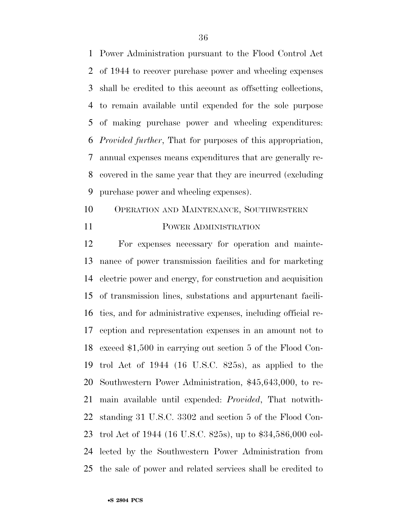Power Administration pursuant to the Flood Control Act of 1944 to recover purchase power and wheeling expenses shall be credited to this account as offsetting collections, to remain available until expended for the sole purpose of making purchase power and wheeling expenditures: *Provided further*, That for purposes of this appropriation, annual expenses means expenditures that are generally re- covered in the same year that they are incurred (excluding purchase power and wheeling expenses).

- OPERATION AND MAINTENANCE, SOUTHWESTERN
- 

#### POWER ADMINISTRATION

 For expenses necessary for operation and mainte- nance of power transmission facilities and for marketing electric power and energy, for construction and acquisition of transmission lines, substations and appurtenant facili- ties, and for administrative expenses, including official re- ception and representation expenses in an amount not to exceed \$1,500 in carrying out section 5 of the Flood Con- trol Act of 1944 (16 U.S.C. 825s), as applied to the Southwestern Power Administration, \$45,643,000, to re- main available until expended: *Provided*, That notwith- standing 31 U.S.C. 3302 and section 5 of the Flood Con- trol Act of 1944 (16 U.S.C. 825s), up to \$34,586,000 col- lected by the Southwestern Power Administration from the sale of power and related services shall be credited to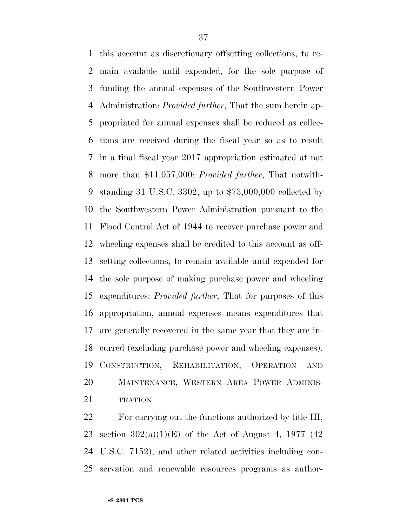this account as discretionary offsetting collections, to re- main available until expended, for the sole purpose of funding the annual expenses of the Southwestern Power Administration: *Provided further*, That the sum herein ap- propriated for annual expenses shall be reduced as collec- tions are received during the fiscal year so as to result in a final fiscal year 2017 appropriation estimated at not more than \$11,057,000: *Provided further*, That notwith- standing 31 U.S.C. 3302, up to \$73,000,000 collected by the Southwestern Power Administration pursuant to the Flood Control Act of 1944 to recover purchase power and wheeling expenses shall be credited to this account as off- setting collections, to remain available until expended for the sole purpose of making purchase power and wheeling expenditures: *Provided further*, That for purposes of this appropriation, annual expenses means expenditures that are generally recovered in the same year that they are in- curred (excluding purchase power and wheeling expenses). CONSTRUCTION, REHABILITATION, OPERATION AND MAINTENANCE, WESTERN AREA POWER ADMINIS-21 TRATION

 For carrying out the functions authorized by title III, 23 section  $302(a)(1)(E)$  of the Act of August 4, 1977 (42) U.S.C. 7152), and other related activities including con-servation and renewable resources programs as author-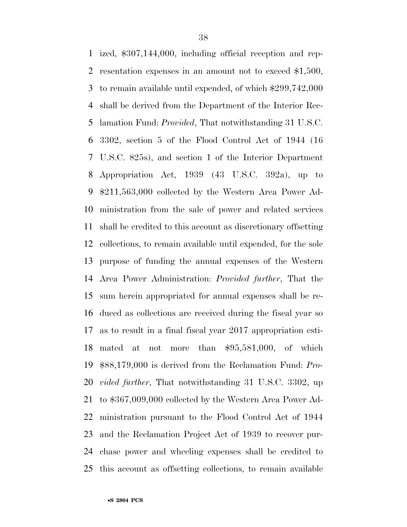ized, \$307,144,000, including official reception and rep- resentation expenses in an amount not to exceed \$1,500, to remain available until expended, of which \$299,742,000 shall be derived from the Department of the Interior Rec- lamation Fund: *Provided*, That notwithstanding 31 U.S.C. 3302, section 5 of the Flood Control Act of 1944 (16 U.S.C. 825s), and section 1 of the Interior Department Appropriation Act, 1939 (43 U.S.C. 392a), up to \$211,563,000 collected by the Western Area Power Ad- ministration from the sale of power and related services shall be credited to this account as discretionary offsetting collections, to remain available until expended, for the sole purpose of funding the annual expenses of the Western Area Power Administration: *Provided further*, That the sum herein appropriated for annual expenses shall be re- duced as collections are received during the fiscal year so as to result in a final fiscal year 2017 appropriation esti- mated at not more than \$95,581,000, of which \$88,179,000 is derived from the Reclamation Fund: *Pro- vided further*, That notwithstanding 31 U.S.C. 3302, up to \$367,009,000 collected by the Western Area Power Ad- ministration pursuant to the Flood Control Act of 1944 and the Reclamation Project Act of 1939 to recover pur- chase power and wheeling expenses shall be credited to this account as offsetting collections, to remain available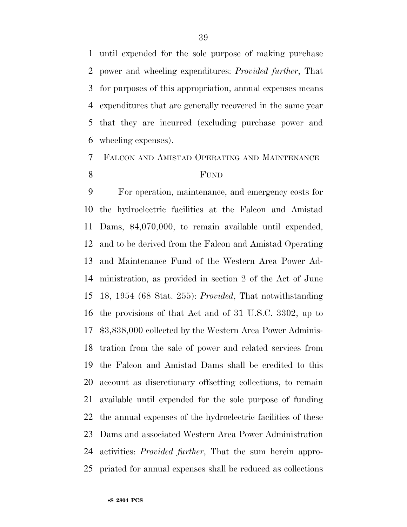until expended for the sole purpose of making purchase power and wheeling expenditures: *Provided further*, That for purposes of this appropriation, annual expenses means expenditures that are generally recovered in the same year that they are incurred (excluding purchase power and wheeling expenses).

## FALCON AND AMISTAD OPERATING AND MAINTENANCE FUND

 For operation, maintenance, and emergency costs for the hydroelectric facilities at the Falcon and Amistad Dams, \$4,070,000, to remain available until expended, and to be derived from the Falcon and Amistad Operating and Maintenance Fund of the Western Area Power Ad- ministration, as provided in section 2 of the Act of June 18, 1954 (68 Stat. 255): *Provided*, That notwithstanding the provisions of that Act and of 31 U.S.C. 3302, up to \$3,838,000 collected by the Western Area Power Adminis- tration from the sale of power and related services from the Falcon and Amistad Dams shall be credited to this account as discretionary offsetting collections, to remain available until expended for the sole purpose of funding the annual expenses of the hydroelectric facilities of these Dams and associated Western Area Power Administration activities: *Provided further*, That the sum herein appro-priated for annual expenses shall be reduced as collections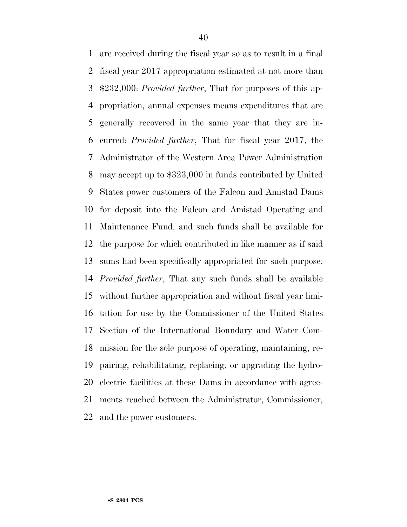are received during the fiscal year so as to result in a final fiscal year 2017 appropriation estimated at not more than \$232,000: *Provided further*, That for purposes of this ap- propriation, annual expenses means expenditures that are generally recovered in the same year that they are in- curred: *Provided further*, That for fiscal year 2017, the Administrator of the Western Area Power Administration may accept up to \$323,000 in funds contributed by United States power customers of the Falcon and Amistad Dams for deposit into the Falcon and Amistad Operating and Maintenance Fund, and such funds shall be available for the purpose for which contributed in like manner as if said sums had been specifically appropriated for such purpose: *Provided further*, That any such funds shall be available without further appropriation and without fiscal year limi- tation for use by the Commissioner of the United States Section of the International Boundary and Water Com- mission for the sole purpose of operating, maintaining, re- pairing, rehabilitating, replacing, or upgrading the hydro- electric facilities at these Dams in accordance with agree- ments reached between the Administrator, Commissioner, and the power customers.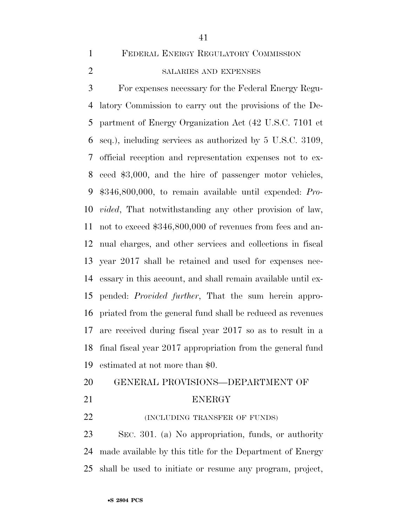FEDERAL ENERGY REGULATORY COMMISSION

#### SALARIES AND EXPENSES

 For expenses necessary for the Federal Energy Regu- latory Commission to carry out the provisions of the De- partment of Energy Organization Act (42 U.S.C. 7101 et seq.), including services as authorized by 5 U.S.C. 3109, official reception and representation expenses not to ex- ceed \$3,000, and the hire of passenger motor vehicles, \$346,800,000, to remain available until expended: *Pro- vided*, That notwithstanding any other provision of law, not to exceed \$346,800,000 of revenues from fees and an- nual charges, and other services and collections in fiscal year 2017 shall be retained and used for expenses nec- essary in this account, and shall remain available until ex- pended: *Provided further*, That the sum herein appro- priated from the general fund shall be reduced as revenues are received during fiscal year 2017 so as to result in a final fiscal year 2017 appropriation from the general fund estimated at not more than \$0.

## GENERAL PROVISIONS—DEPARTMENT OF

#### ENERGY

**INCLUDING TRANSFER OF FUNDS** 

 SEC. 301. (a) No appropriation, funds, or authority made available by this title for the Department of Energy shall be used to initiate or resume any program, project,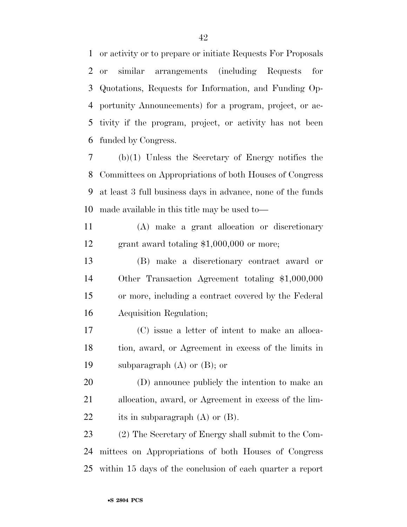or activity or to prepare or initiate Requests For Proposals or similar arrangements (including Requests for Quotations, Requests for Information, and Funding Op- portunity Announcements) for a program, project, or ac- tivity if the program, project, or activity has not been funded by Congress.

 (b)(1) Unless the Secretary of Energy notifies the Committees on Appropriations of both Houses of Congress at least 3 full business days in advance, none of the funds made available in this title may be used to—

 (A) make a grant allocation or discretionary grant award totaling \$1,000,000 or more;

 (B) make a discretionary contract award or Other Transaction Agreement totaling \$1,000,000 or more, including a contract covered by the Federal Acquisition Regulation;

 (C) issue a letter of intent to make an alloca- tion, award, or Agreement in excess of the limits in 19 subparagraph  $(A)$  or  $(B)$ ; or

 (D) announce publicly the intention to make an allocation, award, or Agreement in excess of the lim-22 its in subparagraph (A) or (B).

 (2) The Secretary of Energy shall submit to the Com- mittees on Appropriations of both Houses of Congress within 15 days of the conclusion of each quarter a report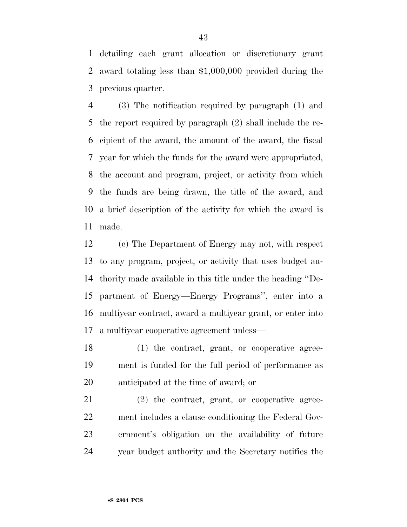detailing each grant allocation or discretionary grant award totaling less than \$1,000,000 provided during the previous quarter.

 (3) The notification required by paragraph (1) and the report required by paragraph (2) shall include the re- cipient of the award, the amount of the award, the fiscal year for which the funds for the award were appropriated, the account and program, project, or activity from which the funds are being drawn, the title of the award, and a brief description of the activity for which the award is made.

 (c) The Department of Energy may not, with respect to any program, project, or activity that uses budget au- thority made available in this title under the heading ''De- partment of Energy—Energy Programs'', enter into a multiyear contract, award a multiyear grant, or enter into a multiyear cooperative agreement unless—

 (1) the contract, grant, or cooperative agree- ment is funded for the full period of performance as anticipated at the time of award; or

 (2) the contract, grant, or cooperative agree- ment includes a clause conditioning the Federal Gov- ernment's obligation on the availability of future year budget authority and the Secretary notifies the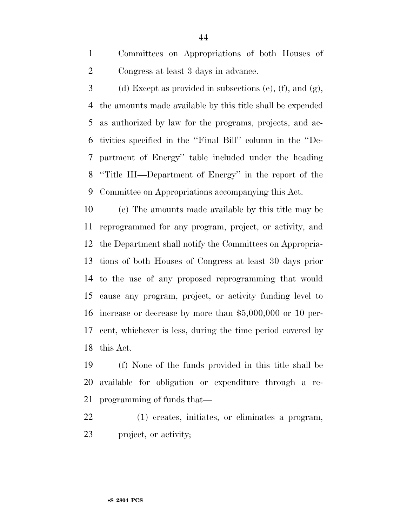Committees on Appropriations of both Houses of Congress at least 3 days in advance.

3 (d) Except as provided in subsections (e), (f), and  $(g)$ , the amounts made available by this title shall be expended as authorized by law for the programs, projects, and ac- tivities specified in the ''Final Bill'' column in the ''De- partment of Energy'' table included under the heading ''Title III—Department of Energy'' in the report of the Committee on Appropriations accompanying this Act.

 (e) The amounts made available by this title may be reprogrammed for any program, project, or activity, and the Department shall notify the Committees on Appropria- tions of both Houses of Congress at least 30 days prior to the use of any proposed reprogramming that would cause any program, project, or activity funding level to increase or decrease by more than \$5,000,000 or 10 per- cent, whichever is less, during the time period covered by this Act.

 (f) None of the funds provided in this title shall be available for obligation or expenditure through a re-programming of funds that—

 (1) creates, initiates, or eliminates a program, project, or activity;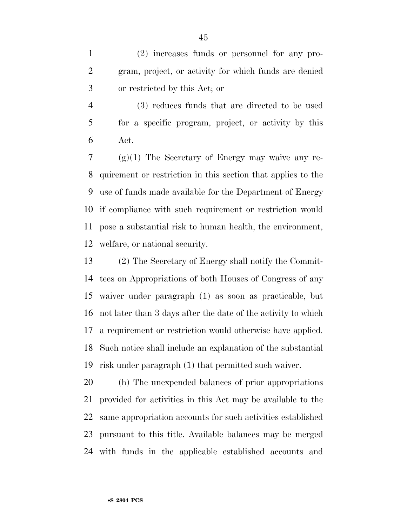(2) increases funds or personnel for any pro- gram, project, or activity for which funds are denied or restricted by this Act; or

 (3) reduces funds that are directed to be used for a specific program, project, or activity by this Act.

 (g)(1) The Secretary of Energy may waive any re- quirement or restriction in this section that applies to the use of funds made available for the Department of Energy if compliance with such requirement or restriction would pose a substantial risk to human health, the environment, welfare, or national security.

 (2) The Secretary of Energy shall notify the Commit- tees on Appropriations of both Houses of Congress of any waiver under paragraph (1) as soon as practicable, but not later than 3 days after the date of the activity to which a requirement or restriction would otherwise have applied. Such notice shall include an explanation of the substantial risk under paragraph (1) that permitted such waiver.

 (h) The unexpended balances of prior appropriations provided for activities in this Act may be available to the same appropriation accounts for such activities established pursuant to this title. Available balances may be merged with funds in the applicable established accounts and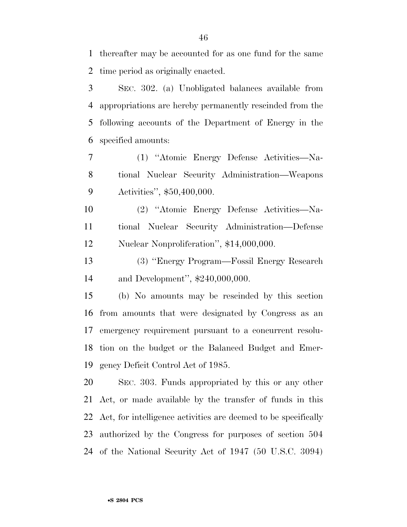thereafter may be accounted for as one fund for the same time period as originally enacted.

 SEC. 302. (a) Unobligated balances available from appropriations are hereby permanently rescinded from the following accounts of the Department of Energy in the specified amounts:

 (1) ''Atomic Energy Defense Activities—Na- tional Nuclear Security Administration—Weapons Activities'', \$50,400,000.

 (2) ''Atomic Energy Defense Activities—Na- tional Nuclear Security Administration—Defense Nuclear Nonproliferation'', \$14,000,000.

 (3) ''Energy Program—Fossil Energy Research and Development'', \$240,000,000.

 (b) No amounts may be rescinded by this section from amounts that were designated by Congress as an emergency requirement pursuant to a concurrent resolu- tion on the budget or the Balanced Budget and Emer-gency Deficit Control Act of 1985.

 SEC. 303. Funds appropriated by this or any other Act, or made available by the transfer of funds in this Act, for intelligence activities are deemed to be specifically authorized by the Congress for purposes of section 504 of the National Security Act of 1947 (50 U.S.C. 3094)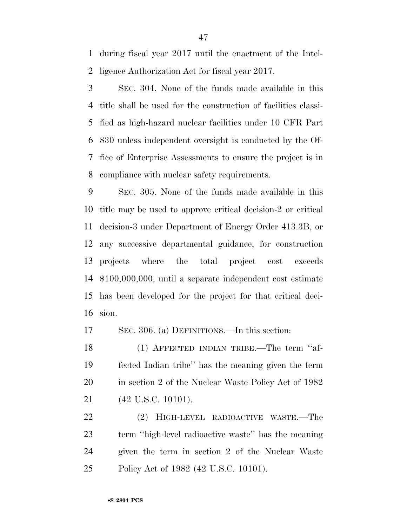during fiscal year 2017 until the enactment of the Intel-ligence Authorization Act for fiscal year 2017.

 SEC. 304. None of the funds made available in this title shall be used for the construction of facilities classi- fied as high-hazard nuclear facilities under 10 CFR Part 830 unless independent oversight is conducted by the Of- fice of Enterprise Assessments to ensure the project is in compliance with nuclear safety requirements.

 SEC. 305. None of the funds made available in this title may be used to approve critical decision-2 or critical decision-3 under Department of Energy Order 413.3B, or any successive departmental guidance, for construction projects where the total project cost exceeds \$100,000,000, until a separate independent cost estimate has been developed for the project for that critical deci-sion.

SEC. 306. (a) DEFINITIONS.—In this section:

 (1) AFFECTED INDIAN TRIBE.—The term ''af- fected Indian tribe'' has the meaning given the term 20 in section 2 of the Nuclear Waste Policy Act of 1982 (42 U.S.C. 10101).

 (2) HIGH-LEVEL RADIOACTIVE WASTE.—The term ''high-level radioactive waste'' has the meaning given the term in section 2 of the Nuclear Waste Policy Act of 1982 (42 U.S.C. 10101).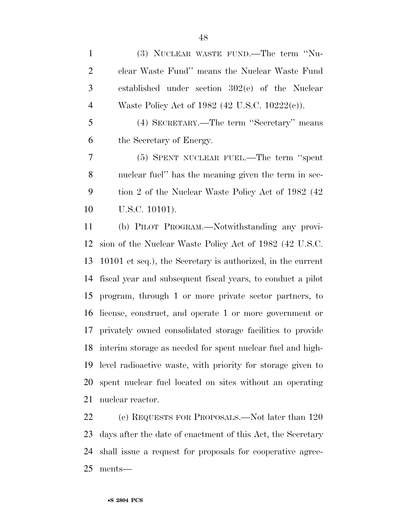(3) NUCLEAR WASTE FUND.—The term ''Nu- clear Waste Fund'' means the Nuclear Waste Fund established under section 302(c) of the Nuclear Waste Policy Act of 1982 (42 U.S.C. 10222(c)). (4) SECRETARY.—The term ''Secretary'' means the Secretary of Energy. (5) SPENT NUCLEAR FUEL.—The term ''spent nuclear fuel'' has the meaning given the term in sec- tion 2 of the Nuclear Waste Policy Act of 1982 (42 U.S.C. 10101). (b) PILOT PROGRAM.—Notwithstanding any provi- sion of the Nuclear Waste Policy Act of 1982 (42 U.S.C. 10101 et seq.), the Secretary is authorized, in the current fiscal year and subsequent fiscal years, to conduct a pilot program, through 1 or more private sector partners, to license, construct, and operate 1 or more government or privately owned consolidated storage facilities to provide interim storage as needed for spent nuclear fuel and high- level radioactive waste, with priority for storage given to spent nuclear fuel located on sites without an operating nuclear reactor.

 (c) REQUESTS FOR PROPOSALS.—Not later than 120 days after the date of enactment of this Act, the Secretary shall issue a request for proposals for cooperative agree-ments—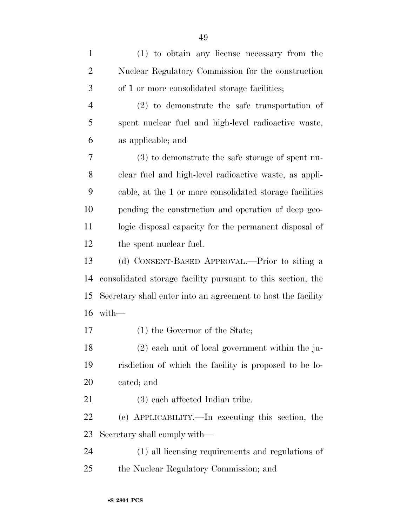| $\mathbf{1}$   | (1) to obtain any license necessary from the                 |
|----------------|--------------------------------------------------------------|
| $\overline{2}$ | Nuclear Regulatory Commission for the construction           |
| 3              | of 1 or more consolidated storage facilities;                |
| $\overline{4}$ | $(2)$ to demonstrate the safe transportation of              |
| 5              | spent nuclear fuel and high-level radioactive waste,         |
| 6              | as applicable; and                                           |
| 7              | $(3)$ to demonstrate the safe storage of spent nu-           |
| 8              | clear fuel and high-level radioactive waste, as appli-       |
| 9              | cable, at the 1 or more consolidated storage facilities      |
| 10             | pending the construction and operation of deep geo-          |
| 11             | logic disposal capacity for the permanent disposal of        |
| 12             | the spent nuclear fuel.                                      |
| 13             | (d) CONSENT-BASED APPROVAL.—Prior to siting a                |
| 14             | consolidated storage facility pursuant to this section, the  |
| 15             | Secretary shall enter into an agreement to host the facility |
| 16             | with                                                         |
| 17             | (1) the Governor of the State;                               |
| 18             | $(2)$ each unit of local government within the ju-           |
| 19             | risdiction of which the facility is proposed to be lo-       |
| 20             | cated; and                                                   |
| 21             | (3) each affected Indian tribe.                              |
| 22             | (e) APPLICABILITY.—In executing this section, the            |
| 23             | Secretary shall comply with—                                 |
| 24             | (1) all licensing requirements and regulations of            |
| 25             | the Nuclear Regulatory Commission; and                       |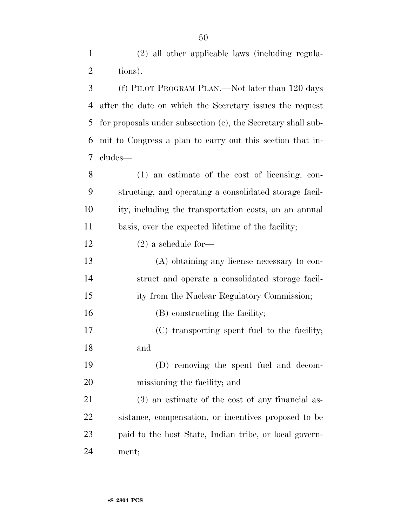(2) all other applicable laws (including regula-

2 tions). (f) PILOT PROGRAM PLAN.—Not later than 120 days after the date on which the Secretary issues the request for proposals under subsection (c), the Secretary shall sub- mit to Congress a plan to carry out this section that in-cludes—

 (1) an estimate of the cost of licensing, con- structing, and operating a consolidated storage facil- ity, including the transportation costs, on an annual basis, over the expected lifetime of the facility;

(2) a schedule for—

 (A) obtaining any license necessary to con- struct and operate a consolidated storage facil- ity from the Nuclear Regulatory Commission; 16 (B) constructing the facility; (C) transporting spent fuel to the facility; and (D) removing the spent fuel and decom-missioning the facility; and

 (3) an estimate of the cost of any financial as- sistance, compensation, or incentives proposed to be paid to the host State, Indian tribe, or local govern-ment;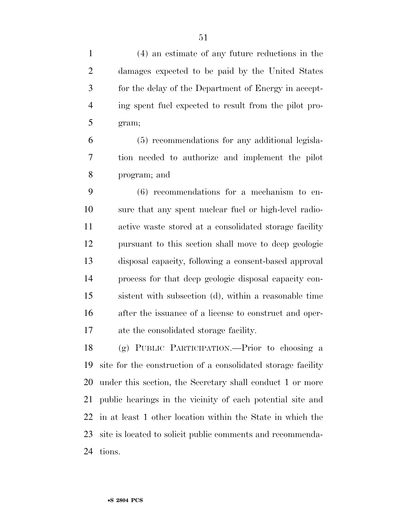(4) an estimate of any future reductions in the damages expected to be paid by the United States for the delay of the Department of Energy in accept- ing spent fuel expected to result from the pilot pro-gram;

 (5) recommendations for any additional legisla- tion needed to authorize and implement the pilot program; and

 (6) recommendations for a mechanism to en- sure that any spent nuclear fuel or high-level radio- active waste stored at a consolidated storage facility pursuant to this section shall move to deep geologic disposal capacity, following a consent-based approval process for that deep geologic disposal capacity con- sistent with subsection (d), within a reasonable time after the issuance of a license to construct and oper-ate the consolidated storage facility.

 (g) PUBLIC PARTICIPATION.—Prior to choosing a site for the construction of a consolidated storage facility under this section, the Secretary shall conduct 1 or more public hearings in the vicinity of each potential site and in at least 1 other location within the State in which the site is located to solicit public comments and recommenda-tions.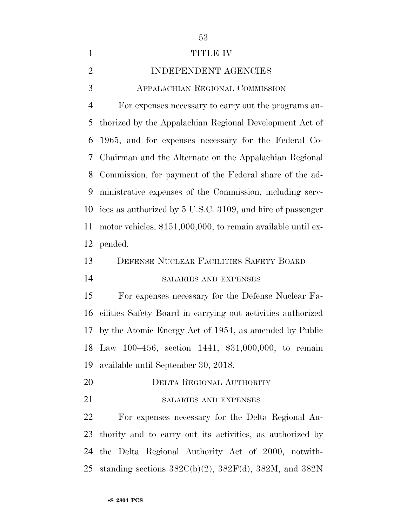| $\mathbf{1}$   | TITLE IV                                                         |
|----------------|------------------------------------------------------------------|
| $\overline{2}$ | INDEPENDENT AGENCIES                                             |
| 3              | <b>APPALACHIAN REGIONAL COMMISSION</b>                           |
| $\overline{4}$ | For expenses necessary to carry out the programs au-             |
| 5              | thorized by the Appalachian Regional Development Act of          |
| 6              | 1965, and for expenses necessary for the Federal Co-             |
| 7              | Chairman and the Alternate on the Appalachian Regional           |
| 8              | Commission, for payment of the Federal share of the ad-          |
| 9              | ministrative expenses of the Commission, including serv-         |
| 10             | ices as authorized by 5 U.S.C. 3109, and hire of passenger       |
| 11             | motor vehicles, \$151,000,000, to remain available until ex-     |
| 12             | pended.                                                          |
| 13             | DEFENSE NUCLEAR FACILITIES SAFETY BOARD                          |
| 14             | SALARIES AND EXPENSES                                            |
| 15             | For expenses necessary for the Defense Nuclear Fa-               |
| 16             | cilities Safety Board in carrying out activities authorized      |
|                | 17 by the Atomic Energy Act of 1954, as amended by Public        |
|                | 18 Law 100-456, section 1441, \$31,000,000, to remain            |
| 19             | available until September 30, 2018.                              |
| 20             | DELTA REGIONAL AUTHORITY                                         |
| 21             | SALARIES AND EXPENSES                                            |
| 22             | For expenses necessary for the Delta Regional Au-                |
| 23             | thority and to carry out its activities, as authorized by        |
| 24             | the Delta Regional Authority Act of 2000, notwith-               |
| 25             | standing sections $382C(b)(2)$ , $382F(d)$ , $382M$ , and $382N$ |
|                |                                                                  |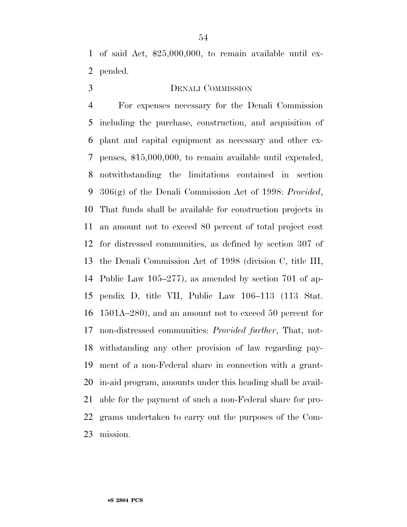of said Act, \$25,000,000, to remain available until ex-pended.

#### DENALI COMMISSION

 For expenses necessary for the Denali Commission including the purchase, construction, and acquisition of plant and capital equipment as necessary and other ex- penses, \$15,000,000, to remain available until expended, notwithstanding the limitations contained in section 306(g) of the Denali Commission Act of 1998: *Provided*, That funds shall be available for construction projects in an amount not to exceed 80 percent of total project cost for distressed communities, as defined by section 307 of the Denali Commission Act of 1998 (division C, title III, Public Law 105–277), as amended by section 701 of ap- pendix D, title VII, Public Law 106–113 (113 Stat. 1501A–280), and an amount not to exceed 50 percent for non-distressed communities: *Provided further*, That, not- withstanding any other provision of law regarding pay- ment of a non-Federal share in connection with a grant- in-aid program, amounts under this heading shall be avail- able for the payment of such a non-Federal share for pro- grams undertaken to carry out the purposes of the Com-mission.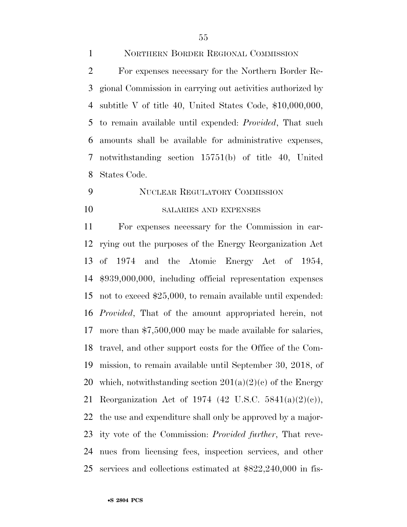NORTHERN BORDER REGIONAL COMMISSION For expenses necessary for the Northern Border Re- gional Commission in carrying out activities authorized by subtitle V of title 40, United States Code, \$10,000,000, to remain available until expended: *Provided*, That such amounts shall be available for administrative expenses, notwithstanding section 15751(b) of title 40, United States Code.

## NUCLEAR REGULATORY COMMISSION SALARIES AND EXPENSES

 For expenses necessary for the Commission in car- rying out the purposes of the Energy Reorganization Act of 1974 and the Atomic Energy Act of 1954, \$939,000,000, including official representation expenses not to exceed \$25,000, to remain available until expended: *Provided*, That of the amount appropriated herein, not more than \$7,500,000 may be made available for salaries, travel, and other support costs for the Office of the Com- mission, to remain available until September 30, 2018, of 20 which, notwithstanding section  $201(a)(2)(c)$  of the Energy Reorganization Act of 1974 (42 U.S.C. 5841(a)(2)(c)), the use and expenditure shall only be approved by a major- ity vote of the Commission: *Provided further*, That reve- nues from licensing fees, inspection services, and other services and collections estimated at \$822,240,000 in fis-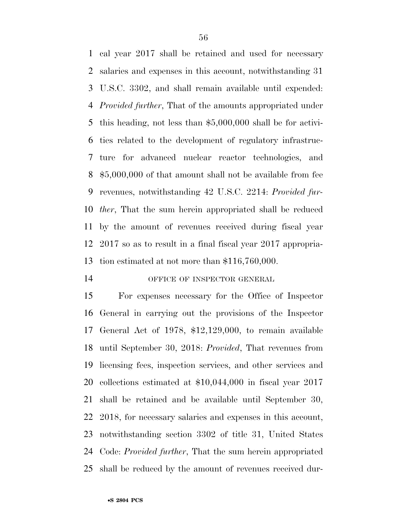cal year 2017 shall be retained and used for necessary salaries and expenses in this account, notwithstanding 31 U.S.C. 3302, and shall remain available until expended: *Provided further*, That of the amounts appropriated under this heading, not less than \$5,000,000 shall be for activi- ties related to the development of regulatory infrastruc- ture for advanced nuclear reactor technologies, and \$5,000,000 of that amount shall not be available from fee revenues, notwithstanding 42 U.S.C. 2214: *Provided fur- ther*, That the sum herein appropriated shall be reduced by the amount of revenues received during fiscal year 2017 so as to result in a final fiscal year 2017 appropria-tion estimated at not more than \$116,760,000.

#### 14 OFFICE OF INSPECTOR GENERAL

 For expenses necessary for the Office of Inspector General in carrying out the provisions of the Inspector General Act of 1978, \$12,129,000, to remain available until September 30, 2018: *Provided*, That revenues from licensing fees, inspection services, and other services and collections estimated at \$10,044,000 in fiscal year 2017 shall be retained and be available until September 30, 2018, for necessary salaries and expenses in this account, notwithstanding section 3302 of title 31, United States Code: *Provided further*, That the sum herein appropriated shall be reduced by the amount of revenues received dur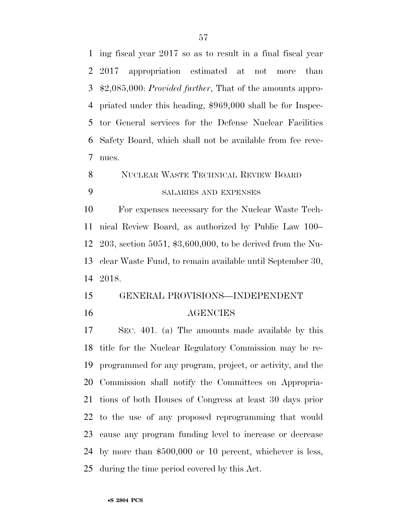ing fiscal year 2017 so as to result in a final fiscal year 2017 appropriation estimated at not more than \$2,085,000: *Provided further*, That of the amounts appro- priated under this heading, \$969,000 shall be for Inspec- tor General services for the Defense Nuclear Facilities Safety Board, which shall not be available from fee reve-nues.

NUCLEAR WASTE TECHNICAL REVIEW BOARD

SALARIES AND EXPENSES

 For expenses necessary for the Nuclear Waste Tech- nical Review Board, as authorized by Public Law 100– 203, section 5051, \$3,600,000, to be derived from the Nu- clear Waste Fund, to remain available until September 30, 2018.

 GENERAL PROVISIONS—INDEPENDENT AGENCIES

 SEC. 401. (a) The amounts made available by this title for the Nuclear Regulatory Commission may be re- programmed for any program, project, or activity, and the Commission shall notify the Committees on Appropria- tions of both Houses of Congress at least 30 days prior to the use of any proposed reprogramming that would cause any program funding level to increase or decrease by more than \$500,000 or 10 percent, whichever is less, during the time period covered by this Act.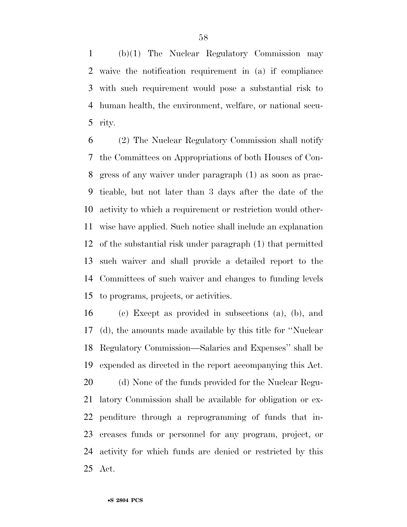(b)(1) The Nuclear Regulatory Commission may waive the notification requirement in (a) if compliance with such requirement would pose a substantial risk to human health, the environment, welfare, or national secu-rity.

 (2) The Nuclear Regulatory Commission shall notify the Committees on Appropriations of both Houses of Con- gress of any waiver under paragraph (1) as soon as prac- ticable, but not later than 3 days after the date of the activity to which a requirement or restriction would other- wise have applied. Such notice shall include an explanation of the substantial risk under paragraph (1) that permitted such waiver and shall provide a detailed report to the Committees of such waiver and changes to funding levels to programs, projects, or activities.

 (c) Except as provided in subsections (a), (b), and (d), the amounts made available by this title for ''Nuclear Regulatory Commission—Salaries and Expenses'' shall be expended as directed in the report accompanying this Act.

 (d) None of the funds provided for the Nuclear Regu- latory Commission shall be available for obligation or ex- penditure through a reprogramming of funds that in- creases funds or personnel for any program, project, or activity for which funds are denied or restricted by this Act.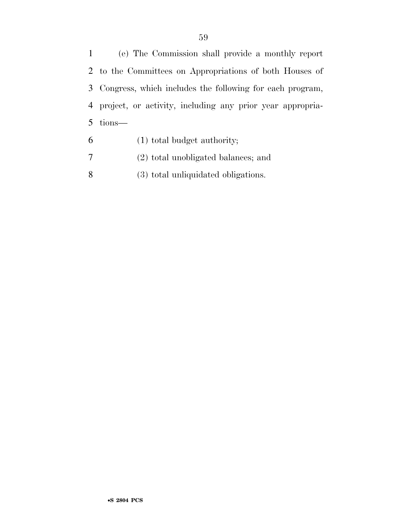(e) The Commission shall provide a monthly report to the Committees on Appropriations of both Houses of Congress, which includes the following for each program, project, or activity, including any prior year appropria-tions—

- (1) total budget authority;
- (2) total unobligated balances; and
- (3) total unliquidated obligations.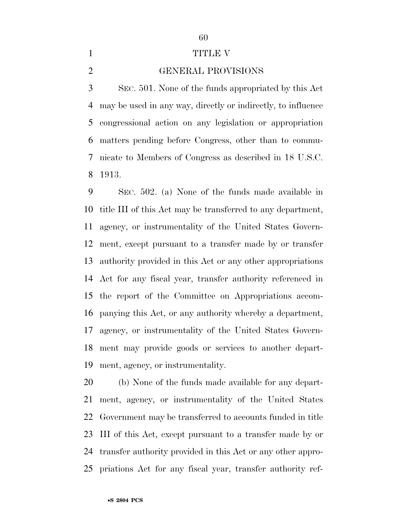### 

#### 1 TITLE V

#### GENERAL PROVISIONS

 SEC. 501. None of the funds appropriated by this Act may be used in any way, directly or indirectly, to influence congressional action on any legislation or appropriation matters pending before Congress, other than to commu- nicate to Members of Congress as described in 18 U.S.C. 1913.

 SEC. 502. (a) None of the funds made available in title III of this Act may be transferred to any department, agency, or instrumentality of the United States Govern- ment, except pursuant to a transfer made by or transfer authority provided in this Act or any other appropriations Act for any fiscal year, transfer authority referenced in the report of the Committee on Appropriations accom- panying this Act, or any authority whereby a department, agency, or instrumentality of the United States Govern- ment may provide goods or services to another depart-ment, agency, or instrumentality.

 (b) None of the funds made available for any depart- ment, agency, or instrumentality of the United States Government may be transferred to accounts funded in title III of this Act, except pursuant to a transfer made by or transfer authority provided in this Act or any other appro-priations Act for any fiscal year, transfer authority ref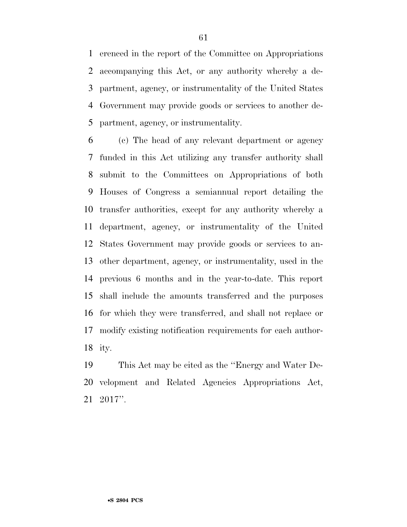erenced in the report of the Committee on Appropriations accompanying this Act, or any authority whereby a de- partment, agency, or instrumentality of the United States Government may provide goods or services to another de-partment, agency, or instrumentality.

 (c) The head of any relevant department or agency funded in this Act utilizing any transfer authority shall submit to the Committees on Appropriations of both Houses of Congress a semiannual report detailing the transfer authorities, except for any authority whereby a department, agency, or instrumentality of the United States Government may provide goods or services to an- other department, agency, or instrumentality, used in the previous 6 months and in the year-to-date. This report shall include the amounts transferred and the purposes for which they were transferred, and shall not replace or modify existing notification requirements for each author-ity.

 This Act may be cited as the ''Energy and Water De- velopment and Related Agencies Appropriations Act, 2017''.